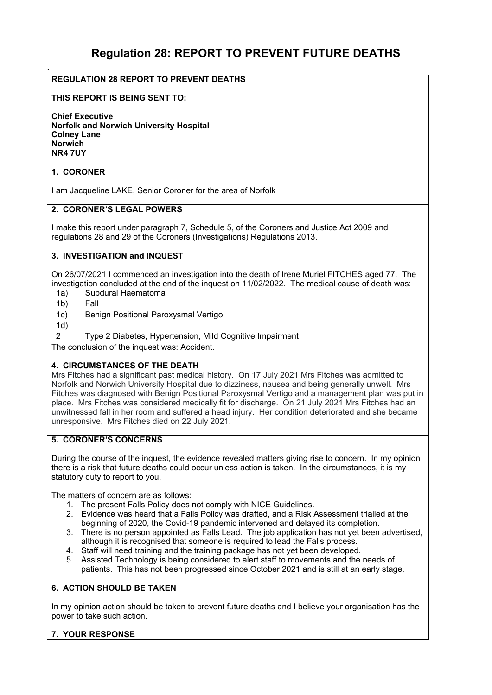# **Regulation 28: REPORT TO PREVENT FUTURE DEATHS**

### **REGULATION 28 REPORT TO PREVENT DEATHS**

#### **THIS REPORT IS BEING SENT TO:**

**Chief Executive Norfolk and Norwich University Hospital Colney Lane Norwich NR4 7UY** 

#### **1. CORONER**

.

I am Jacqueline LAKE, Senior Coroner for the area of Norfolk

#### **2. CORONER'S LEGAL POWERS**

I make this report under paragraph 7, Schedule 5, of the Coroners and Justice Act 2009 and regulations 28 and 29 of the Coroners (Investigations) Regulations 2013.

#### **3. INVESTIGATION and INQUEST**

On 26/07/2021 I commenced an investigation into the death of Irene Muriel FITCHES aged 77. The investigation concluded at the end of the inquest on 11/02/2022. The medical cause of death was:

- 1a) Subdural Haematoma
- 1b) Fall
- 1c) Benign Positional Paroxysmal Vertigo
- 1d)
- 2 Type 2 Diabetes, Hypertension, Mild Cognitive Impairment

The conclusion of the inquest was: Accident.

#### **4. CIRCUMSTANCES OF THE DEATH**

Mrs Fitches had a significant past medical history. On 17 July 2021 Mrs Fitches was admitted to Norfolk and Norwich University Hospital due to dizziness, nausea and being generally unwell. Mrs Fitches was diagnosed with Benign Positional Paroxysmal Vertigo and a management plan was put in place. Mrs Fitches was considered medically fit for discharge. On 21 July 2021 Mrs Fitches had an unwitnessed fall in her room and suffered a head injury. Her condition deteriorated and she became unresponsive. Mrs Fitches died on 22 July 2021.

## **5. CORONER'S CONCERNS**

During the course of the inquest, the evidence revealed matters giving rise to concern. In my opinion there is a risk that future deaths could occur unless action is taken. In the circumstances, it is my statutory duty to report to you.

The matters of concern are as follows:

- 1. The present Falls Policy does not comply with NICE Guidelines.
- 2. Evidence was heard that a Falls Policy was drafted, and a Risk Assessment trialled at the beginning of 2020, the Covid-19 pandemic intervened and delayed its completion.
- 3. There is no person appointed as Falls Lead. The job application has not yet been advertised, although it is recognised that someone is required to lead the Falls process.
- 4. Staff will need training and the training package has not yet been developed.<br>5. Assisted Technology is being considered to alert staff to movements and the
- Assisted Technology is being considered to alert staff to movements and the needs of patients. This has not been progressed since October 2021 and is still at an early stage.

#### **6. ACTION SHOULD BE TAKEN**

In my opinion action should be taken to prevent future deaths and I believe your organisation has the power to take such action.

#### **7. YOUR RESPONSE**